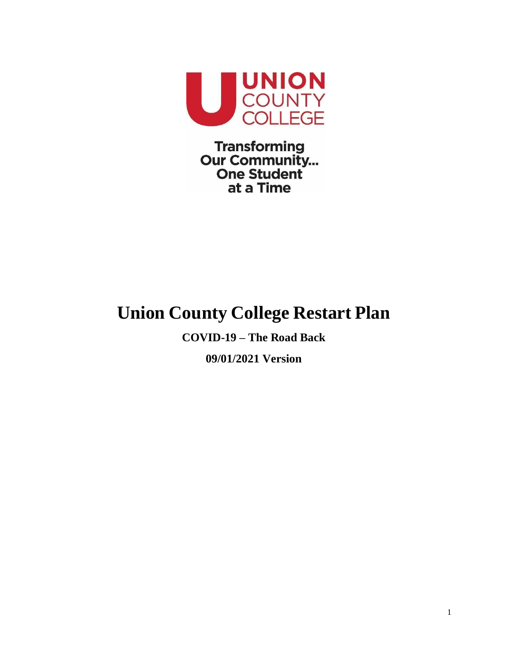

**Transforming Our Community...**<br>One Student at a Time

## **Union County College Restart Plan**

**COVID-19 – The Road Back 09/01/2021 Version**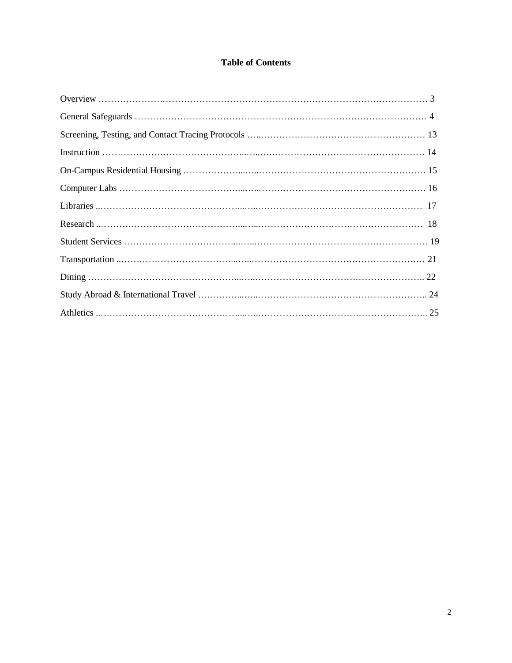### **Table of Contents**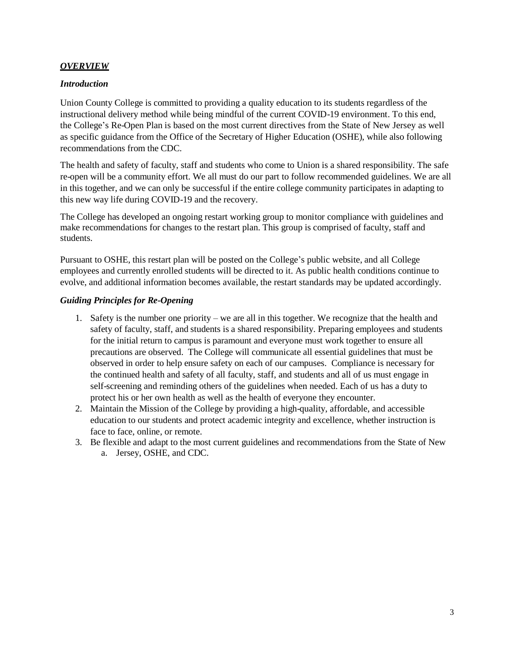#### *OVERVIEW*

#### *Introduction*

Union County College is committed to providing a quality education to its students regardless of the instructional delivery method while being mindful of the current COVID-19 environment. To this end, the College's Re-Open Plan is based on the most current directives from the State of New Jersey as well as specific guidance from the Office of the Secretary of Higher Education (OSHE), while also following recommendations from the CDC.

The health and safety of faculty, staff and students who come to Union is a shared responsibility. The safe re-open will be a community effort. We all must do our part to follow recommended guidelines. We are all in this together, and we can only be successful if the entire college community participates in adapting to this new way life during COVID-19 and the recovery.

The College has developed an ongoing restart working group to monitor compliance with guidelines and make recommendations for changes to the restart plan. This group is comprised of faculty, staff and students.

Pursuant to OSHE, this restart plan will be posted on the College's public website, and all College employees and currently enrolled students will be directed to it. As public health conditions continue to evolve, and additional information becomes available, the restart standards may be updated accordingly.

#### *Guiding Principles for Re-Opening*

- 1. Safety is the number one priority we are all in this together. We recognize that the health and safety of faculty, staff, and students is a shared responsibility. Preparing employees and students for the initial return to campus is paramount and everyone must work together to ensure all precautions are observed. The College will communicate all essential guidelines that must be observed in order to help ensure safety on each of our campuses. Compliance is necessary for the continued health and safety of all faculty, staff, and students and all of us must engage in self-screening and reminding others of the guidelines when needed. Each of us has a duty to protect his or her own health as well as the health of everyone they encounter.
- 2. Maintain the Mission of the College by providing a high-quality, affordable, and accessible education to our students and protect academic integrity and excellence, whether instruction is face to face, online, or remote.
- 3. Be flexible and adapt to the most current guidelines and recommendations from the State of New a. Jersey, OSHE, and CDC.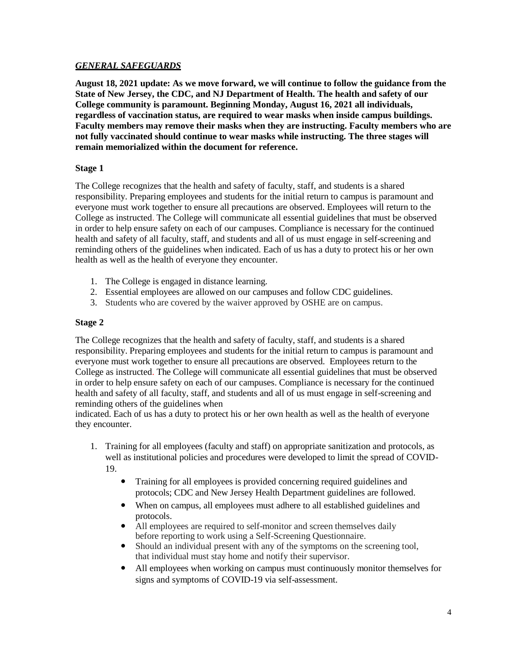#### *GENERAL SAFEGUARDS*

**August 18, 2021 update: As we move forward, we will continue to follow the guidance from the State of New Jersey, the CDC, and NJ Department of Health. The health and safety of our College community is paramount. Beginning Monday, August 16, 2021 all individuals, regardless of vaccination status, are required to wear masks when inside campus buildings. Faculty members may remove their masks when they are instructing. Faculty members who are not fully vaccinated should continue to wear masks while instructing. The three stages will remain memorialized within the document for reference.**

#### **Stage 1**

The College recognizes that the health and safety of faculty, staff, and students is a shared responsibility. Preparing employees and students for the initial return to campus is paramount and everyone must work together to ensure all precautions are observed. Employees will return to the College as instructed. The College will communicate all essential guidelines that must be observed in order to help ensure safety on each of our campuses. Compliance is necessary for the continued health and safety of all faculty, staff, and students and all of us must engage in self-screening and reminding others of the guidelines when indicated. Each of us has a duty to protect his or her own health as well as the health of everyone they encounter.

- 1. The College is engaged in distance learning.
- 2. Essential employees are allowed on our campuses and follow CDC guidelines.
- 3. Students who are covered by the waiver approved by OSHE are on campus.

#### **Stage 2**

The College recognizes that the health and safety of faculty, staff, and students is a shared responsibility. Preparing employees and students for the initial return to campus is paramount and everyone must work together to ensure all precautions are observed. Employees return to the College as instructed. The College will communicate all essential guidelines that must be observed in order to help ensure safety on each of our campuses. Compliance is necessary for the continued health and safety of all faculty, staff, and students and all of us must engage in self-screening and reminding others of the guidelines when

indicated. Each of us has a duty to protect his or her own health as well as the health of everyone they encounter.

- 1. Training for all employees (faculty and staff) on appropriate sanitization and protocols, as well as institutional policies and procedures were developed to limit the spread of COVID-19.
	- Training for all employees is provided concerning required guidelines and protocols; CDC and New Jersey Health Department guidelines are followed.
	- When on campus, all employees must adhere to all established guidelines and protocols.
	- All employees are required to self-monitor and screen themselves daily before reporting to work using a Self-Screening Questionnaire.
	- Should an individual present with any of the symptoms on the screening tool, that individual must stay home and notify their supervisor.
	- All employees when working on campus must continuously monitor themselves for signs and symptoms of COVID-19 via self-assessment.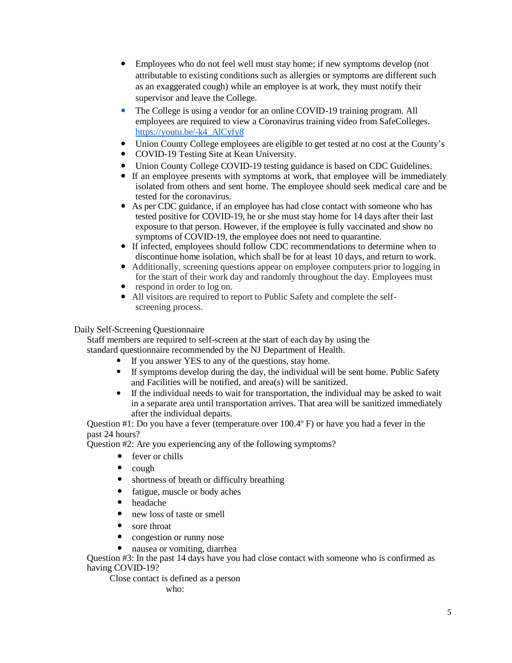- Employees who do not feel well must stay home; if new symptoms develop (not attributable to existing conditions such as allergies or symptoms are different such as an exaggerated cough) while an employee is at work, they must notify their supervisor and leave the College.
- The College is using a vendor for an online COVID-19 training program. All employees are required to view a Coronavirus training video from SafeColleges. [https://youtu.be/-k4\\_AlCyfy8](https://youtu.be/-k4_AlCyfy8)
- Union County College employees are eligible to get tested at no cost at the County's
- COVID-19 Testing Site at Kean University.
- Union County College COVID-19 testing guidance is based on CDC Guidelines.
- If an employee presents with symptoms at work, that employee will be immediately isolated from others and sent home. The employee should seek medical care and be tested for the coronavirus.
- As per CDC guidance, if an employee has had close contact with someone who has tested positive for COVID-19, he or she must stay home for 14 days after their last exposure to that person. However, if the employee is fully vaccinated and show no symptoms of COVID-19, the employee does not need to quarantine.
- If infected, employees should follow CDC recommendations to determine when to discontinue home isolation, which shall be for at least 10 days, and return to work.
- Additionally, screening questions appear on employee computers prior to logging in for the start of their work day and randomly throughout the day. Employees must
- respond in order to log on.
- All visitors are required to report to Public Safety and complete the selfscreening process.

#### Daily Self-Screening Questionnaire

Staff members are required to self-screen at the start of each day by using the standard questionnaire recommended by the NJ Department of Health.

- If you answer YES to any of the questions, stay home.
- If symptoms develop during the day, the individual will be sent home. Public Safety and Facilities will be notified, and area(s) will be sanitized.
- If the individual needs to wait for transportation, the individual may be asked to wait in a separate area until transportation arrives. That area will be sanitized immediately after the individual departs.

Question #1: Do you have a fever (temperature over 100.4º F) or have you had a fever in the past 24 hours?

Question #2: Are you experiencing any of the following symptoms?

- fever or chills
- cough
- shortness of breath or difficulty breathing
- fatigue, muscle or body aches
- headache
- new loss of taste or smell
- sore throat
- congestion or runny nose
- nausea or vomiting, diarrhea

Question #3: In the past 14 days have you had close contact with someone who is confirmed as having COVID-19?

Close contact is defined as a person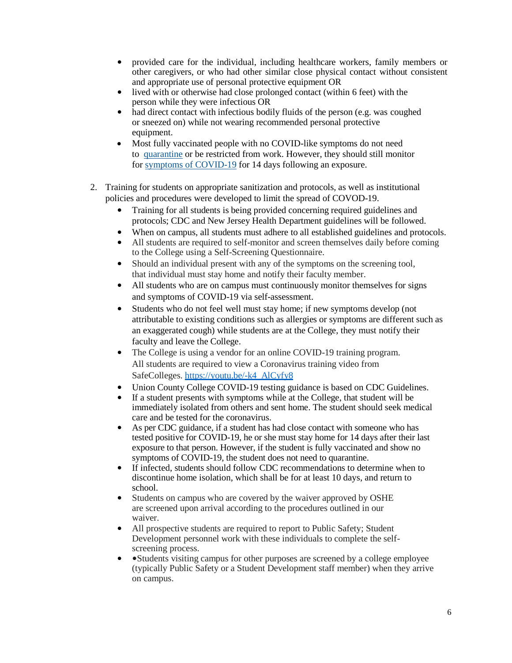- provided care for the individual, including healthcare workers, family members or other caregivers, or who had other similar close physical contact without consistent and appropriate use of personal protective equipment OR
- lived with or otherwise had close prolonged contact (within 6 feet) with the person while they were infectious OR
- had direct contact with infectious bodily fluids of the person (e.g. was coughed or sneezed on) while not wearing recommended personal protective equipment.
- Most fully vaccinated people with no COVID-like symptoms do not need to [quarantine](https://www.cdc.gov/coronavirus/2019-ncov/if-you-are-sick/quarantine.html) or be restricted from work. However, they should still monitor for [symptoms of COVID-19](https://www.cdc.gov/coronavirus/2019-ncov/symptoms-testing/symptoms.html) for 14 days following an exposure.
- 2. Training for students on appropriate sanitization and protocols, as well as institutional policies and procedures were developed to limit the spread of COVOD-19.
	- Training for all students is being provided concerning required guidelines and protocols; CDC and New Jersey Health Department guidelines will be followed.
	- When on campus, all students must adhere to all established guidelines and protocols.
	- All students are required to self-monitor and screen themselves daily before coming to the College using a Self-Screening Questionnaire.
	- Should an individual present with any of the symptoms on the screening tool, that individual must stay home and notify their faculty member.
	- All students who are on campus must continuously monitor themselves for signs and symptoms of COVID-19 via self-assessment.
	- Students who do not feel well must stay home; if new symptoms develop (not attributable to existing conditions such as allergies or symptoms are different such as an exaggerated cough) while students are at the College, they must notify their faculty and leave the College.
	- The College is using a vendor for an online COVID-19 training program. All students are required to view a Coronavirus training video from SafeColleges. [https://youtu.be/-k4\\_AlCyfy8](https://youtu.be/-k4_AlCyfy8)
	- Union County College COVID-19 testing guidance is based on CDC Guidelines.
	- If a student presents with symptoms while at the College, that student will be immediately isolated from others and sent home. The student should seek medical care and be tested for the coronavirus.
	- As per CDC guidance, if a student has had close contact with someone who has tested positive for COVID-19, he or she must stay home for 14 days after their last exposure to that person. However, if the student is fully vaccinated and show no symptoms of COVID-19, the student does not need to quarantine.
	- If infected, students should follow CDC recommendations to determine when to discontinue home isolation, which shall be for at least 10 days, and return to school.
	- Students on campus who are covered by the waiver approved by OSHE are screened upon arrival according to the procedures outlined in our waiver.
	- All prospective students are required to report to Public Safety; Student Development personnel work with these individuals to complete the selfscreening process.
	- Students visiting campus for other purposes are screened by a college employee (typically Public Safety or a Student Development staff member) when they arrive on campus.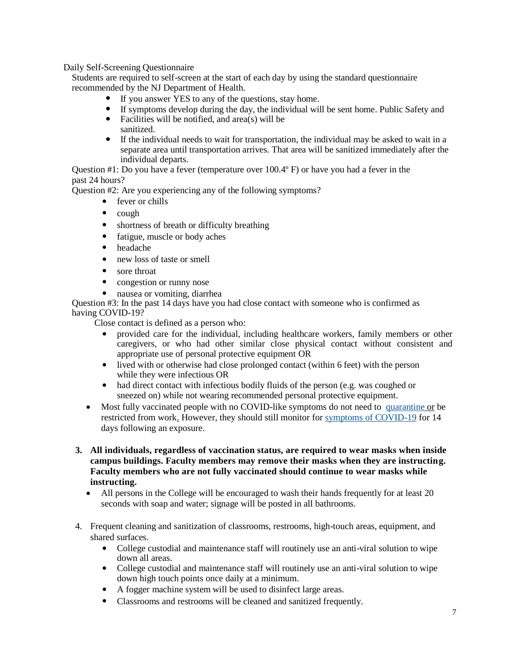Daily Self-Screening Questionnaire

Students are required to self-screen at the start of each day by using the standard questionnaire recommended by the NJ Department of Health.

- If you answer YES to any of the questions, stay home.
- If symptoms develop during the day, the individual will be sent home. Public Safety and
- Facilities will be notified, and  $area(s)$  will be sanitized.
- If the individual needs to wait for transportation, the individual may be asked to wait in a separate area until transportation arrives. That area will be sanitized immediately after the individual departs.

Question #1: Do you have a fever (temperature over 100.4º F) or have you had a fever in the past 24 hours?

Question #2: Are you experiencing any of the following symptoms?

- fever or chills
- cough
- shortness of breath or difficulty breathing
- fatigue, muscle or body aches
- headache
- new loss of taste or smell
- sore throat
- congestion or runny nose
- nausea or vomiting, diarrhea

Question #3: In the past 14 days have you had close contact with someone who is confirmed as having COVID-19?

Close contact is defined as a person who:

- provided care for the individual, including healthcare workers, family members or other caregivers, or who had other similar close physical contact without consistent and appropriate use of personal protective equipment OR
- lived with or otherwise had close prolonged contact (within 6 feet) with the person while they were infectious OR
- had direct contact with infectious bodily fluids of the person (e.g. was coughed or sneezed on) while not wearing recommended personal protective equipment.
- Most fully vaccinated people with no COVID-like symptoms do not need to [quarantine](https://www.cdc.gov/coronavirus/2019-ncov/if-you-are-sick/quarantine.html) or be restricted from work. However, they should still monitor for [symptoms of COVID-19](https://www.cdc.gov/coronavirus/2019-ncov/symptoms-testing/symptoms.html) for 14 days following an exposure.
- **3. All individuals, regardless of vaccination status, are required to wear masks when inside campus buildings. Faculty members may remove their masks when they are instructing. Faculty members who are not fully vaccinated should continue to wear masks while instructing.** 
	- All persons in the College will be encouraged to wash their hands frequently for at least 20 seconds with soap and water; signage will be posted in all bathrooms.
- 4. Frequent cleaning and sanitization of classrooms, restrooms, high-touch areas, equipment, and shared surfaces.
	- College custodial and maintenance staff will routinely use an anti-viral solution to wipe down all areas.
	- College custodial and maintenance staff will routinely use an anti-viral solution to wipe down high touch points once daily at a minimum.
	- A fogger machine system will be used to disinfect large areas.
	- Classrooms and restrooms will be cleaned and sanitized frequently.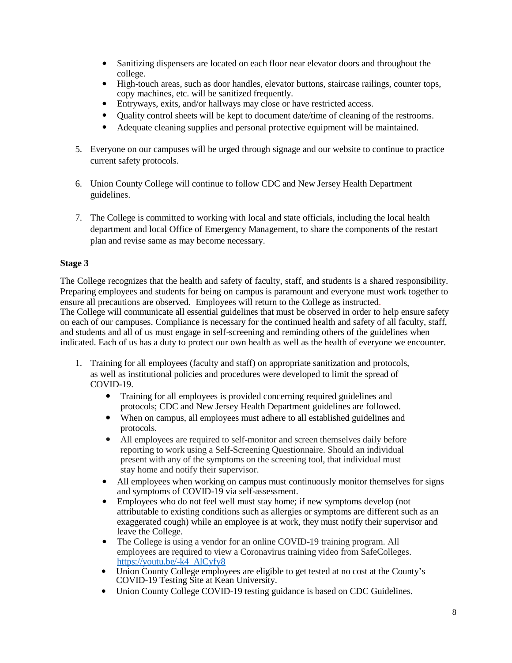- Sanitizing dispensers are located on each floor near elevator doors and throughout the college.
- High-touch areas, such as door handles, elevator buttons, staircase railings, counter tops, copy machines, etc. will be sanitized frequently.
- Entryways, exits, and/or hallways may close or have restricted access.
- Quality control sheets will be kept to document date/time of cleaning of the restrooms.
- Adequate cleaning supplies and personal protective equipment will be maintained.
- 5. Everyone on our campuses will be urged through signage and our website to continue to practice current safety protocols.
- 6. Union County College will continue to follow CDC and New Jersey Health Department guidelines.
- 7. The College is committed to working with local and state officials, including the local health department and local Office of Emergency Management, to share the components of the restart plan and revise same as may become necessary.

#### **Stage 3**

The College recognizes that the health and safety of faculty, staff, and students is a shared responsibility. Preparing employees and students for being on campus is paramount and everyone must work together to ensure all precautions are observed. Employees will return to the College as instructed. The College will communicate all essential guidelines that must be observed in order to help ensure safety on each of our campuses. Compliance is necessary for the continued health and safety of all faculty, staff, and students and all of us must engage in self-screening and reminding others of the guidelines when indicated. Each of us has a duty to protect our own health as well as the health of everyone we encounter.

- 1. Training for all employees (faculty and staff) on appropriate sanitization and protocols, as well as institutional policies and procedures were developed to limit the spread of COVID-19.
	- Training for all employees is provided concerning required guidelines and protocols; CDC and New Jersey Health Department guidelines are followed.
	- When on campus, all employees must adhere to all established guidelines and protocols.
	- All employees are required to self-monitor and screen themselves daily before reporting to work using a Self-Screening Questionnaire. Should an individual present with any of the symptoms on the screening tool, that individual must stay home and notify their supervisor.
	- All employees when working on campus must continuously monitor themselves for signs and symptoms of COVID-19 via self-assessment.
	- Employees who do not feel well must stay home; if new symptoms develop (not attributable to existing conditions such as allergies or symptoms are different such as an exaggerated cough) while an employee is at work, they must notify their supervisor and leave the College.
	- The College is using a vendor for an online COVID-19 training program. All employees are required to view a Coronavirus training video from SafeColleges. [https://youtu.be/-k4\\_AlCyfy8](https://youtu.be/-k4_AlCyfy8)
	- Union County College employees are eligible to get tested at no cost at the County's COVID-19 Testing Site at Kean University.
	- Union County College COVID-19 testing guidance is based on CDC Guidelines.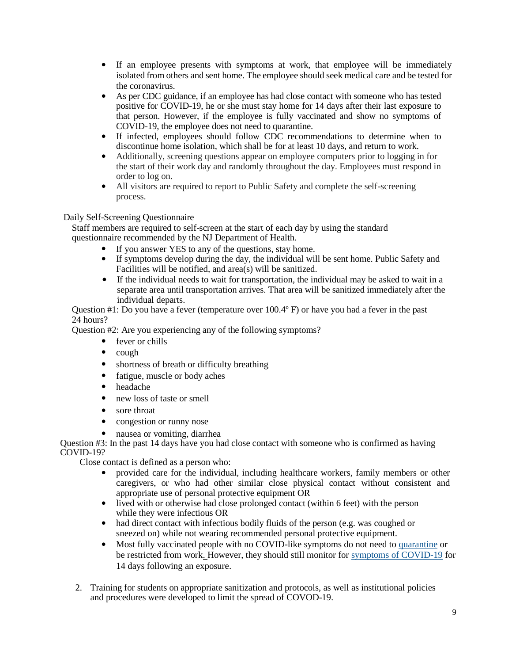- If an employee presents with symptoms at work, that employee will be immediately isolated from others and sent home. The employee should seek medical care and be tested for the coronavirus.
- As per CDC guidance, if an employee has had close contact with someone who has tested positive for COVID-19, he or she must stay home for 14 days after their last exposure to that person. However, if the employee is fully vaccinated and show no symptoms of COVID-19, the employee does not need to quarantine.
- If infected, employees should follow CDC recommendations to determine when to discontinue home isolation, which shall be for at least 10 days, and return to work.
- Additionally, screening questions appear on employee computers prior to logging in for the start of their work day and randomly throughout the day. Employees must respond in order to log on.
- All visitors are required to report to Public Safety and complete the self-screening process.

#### Daily Self-Screening Questionnaire

Staff members are required to self-screen at the start of each day by using the standard questionnaire recommended by the NJ Department of Health.

- If you answer YES to any of the questions, stay home.
- If symptoms develop during the day, the individual will be sent home. Public Safety and Facilities will be notified, and area(s) will be sanitized.
- If the individual needs to wait for transportation, the individual may be asked to wait in a separate area until transportation arrives. That area will be sanitized immediately after the individual departs.

Question #1: Do you have a fever (temperature over 100.4º F) or have you had a fever in the past 24 hours?

Question #2: Are you experiencing any of the following symptoms?

- fever or chills
- cough
- shortness of breath or difficulty breathing
- fatigue, muscle or body aches
- headache
- new loss of taste or smell
- sore throat
- congestion or runny nose
- nausea or vomiting, diarrhea

Question #3: In the past 14 days have you had close contact with someone who is confirmed as having COVID-19?

Close contact is defined as a person who:

- provided care for the individual, including healthcare workers, family members or other caregivers, or who had other similar close physical contact without consistent and appropriate use of personal protective equipment OR
- lived with or otherwise had close prolonged contact (within 6 feet) with the person while they were infectious OR
- had direct contact with infectious bodily fluids of the person (e.g. was coughed or sneezed on) while not wearing recommended personal protective equipment.
- Most fully vaccinated people with no COVID-like symptoms do not need to [quarantine](https://www.cdc.gov/coronavirus/2019-ncov/if-you-are-sick/quarantine.html) or be restricted from work. However, they should still monitor for [symptoms of COVID-19](https://www.cdc.gov/coronavirus/2019-ncov/symptoms-testing/symptoms.html) for 14 days following an exposure.
- 2. Training for students on appropriate sanitization and protocols, as well as institutional policies and procedures were developed to limit the spread of COVOD-19.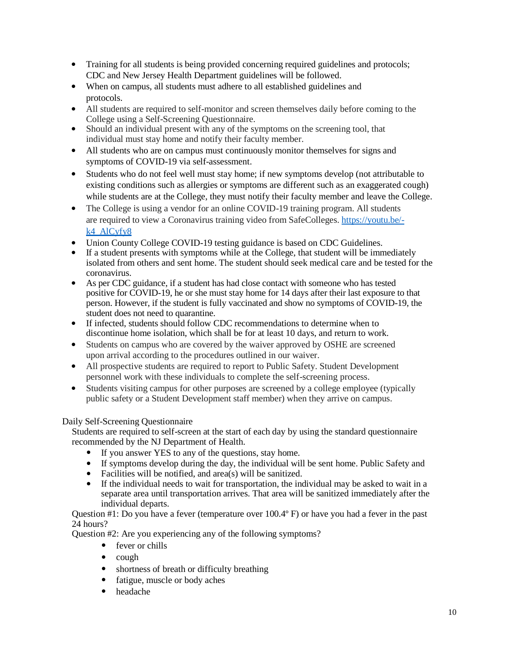- Training for all students is being provided concerning required guidelines and protocols; CDC and New Jersey Health Department guidelines will be followed.
- When on campus, all students must adhere to all established guidelines and protocols.
- All students are required to self-monitor and screen themselves daily before coming to the College using a Self-Screening Questionnaire.
- Should an individual present with any of the symptoms on the screening tool, that individual must stay home and notify their faculty member.
- All students who are on campus must continuously monitor themselves for signs and symptoms of COVID-19 via self-assessment.
- Students who do not feel well must stay home; if new symptoms develop (not attributable to existing conditions such as allergies or symptoms are different such as an exaggerated cough) while students are at the College, they must notify their faculty member and leave the College.
- The College is using a vendor for an online COVID-19 training program. All students are required to view a Coronavirus training video from SafeColleges[. https://youtu.be/](https://youtu.be/-k4_AlCyfy8) [k4\\_AlCyfy8](https://youtu.be/-k4_AlCyfy8)
- Union County College COVID-19 testing guidance is based on CDC Guidelines.
- If a student presents with symptoms while at the College, that student will be immediately isolated from others and sent home. The student should seek medical care and be tested for the coronavirus.
- As per CDC guidance, if a student has had close contact with someone who has tested positive for COVID-19, he or she must stay home for 14 days after their last exposure to that person. However, if the student is fully vaccinated and show no symptoms of COVID-19, the student does not need to quarantine.
- If infected, students should follow CDC recommendations to determine when to discontinue home isolation, which shall be for at least 10 days, and return to work.
- Students on campus who are covered by the waiver approved by OSHE are screened upon arrival according to the procedures outlined in our waiver.
- All prospective students are required to report to Public Safety. Student Development personnel work with these individuals to complete the self-screening process.
- Students visiting campus for other purposes are screened by a college employee (typically public safety or a Student Development staff member) when they arrive on campus.

#### Daily Self-Screening Questionnaire

Students are required to self-screen at the start of each day by using the standard questionnaire recommended by the NJ Department of Health.

- If you answer YES to any of the questions, stay home.
- If symptoms develop during the day, the individual will be sent home. Public Safety and
- Facilities will be notified, and area(s) will be sanitized.
- If the individual needs to wait for transportation, the individual may be asked to wait in a separate area until transportation arrives. That area will be sanitized immediately after the individual departs.

Question #1: Do you have a fever (temperature over 100.4º F) or have you had a fever in the past 24 hours?

Question #2: Are you experiencing any of the following symptoms?

- fever or chills
- cough
- shortness of breath or difficulty breathing
- fatigue, muscle or body aches
- headache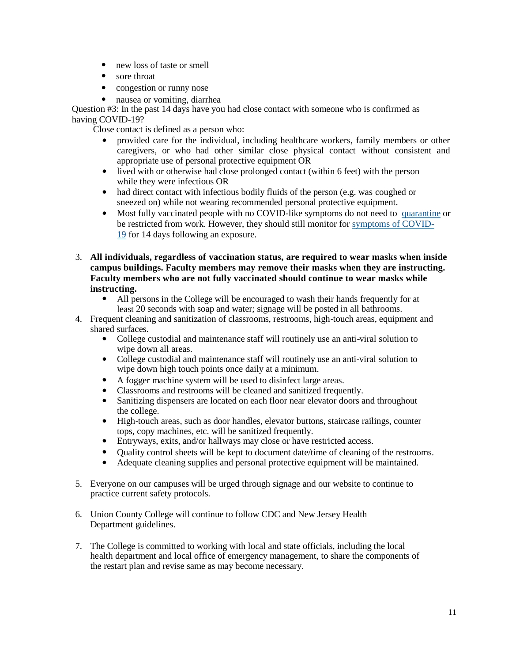- new loss of taste or smell
- sore throat
- congestion or runny nose
- nausea or vomiting, diarrhea

Question #3: In the past 14 days have you had close contact with someone who is confirmed as having COVID-19?

Close contact is defined as a person who:

- provided care for the individual, including healthcare workers, family members or other caregivers, or who had other similar close physical contact without consistent and appropriate use of personal protective equipment OR
- lived with or otherwise had close prolonged contact (within 6 feet) with the person while they were infectious OR
- had direct contact with infectious bodily fluids of the person (e.g. was coughed or sneezed on) while not wearing recommended personal protective equipment.
- Most fully vaccinated people with no COVID-like symptoms do not need to [quarantine](https://www.cdc.gov/coronavirus/2019-ncov/if-you-are-sick/quarantine.html) or be restricted from work. However, they should still monitor for [symptoms of COVID-](https://www.cdc.gov/coronavirus/2019-ncov/symptoms-testing/symptoms.html)[19](https://www.cdc.gov/coronavirus/2019-ncov/symptoms-testing/symptoms.html) for 14 days following an exposure.
- 3. **All individuals, regardless of vaccination status, are required to wear masks when inside campus buildings. Faculty members may remove their masks when they are instructing. Faculty members who are not fully vaccinated should continue to wear masks while instructing.** 
	- All persons in the College will be encouraged to wash their hands frequently for at least 20 seconds with soap and water; signage will be posted in all bathrooms.
- 4. Frequent cleaning and sanitization of classrooms, restrooms, high-touch areas, equipment and shared surfaces.
	- College custodial and maintenance staff will routinely use an anti-viral solution to wipe down all areas.
	- College custodial and maintenance staff will routinely use an anti-viral solution to wipe down high touch points once daily at a minimum.
	- A fogger machine system will be used to disinfect large areas.
	- Classrooms and restrooms will be cleaned and sanitized frequently.
	- Sanitizing dispensers are located on each floor near elevator doors and throughout the college.
	- High-touch areas, such as door handles, elevator buttons, staircase railings, counter tops, copy machines, etc. will be sanitized frequently.
	- Entryways, exits, and/or hallways may close or have restricted access.
	- Quality control sheets will be kept to document date/time of cleaning of the restrooms.
	- Adequate cleaning supplies and personal protective equipment will be maintained.
- 5. Everyone on our campuses will be urged through signage and our website to continue to practice current safety protocols.
- 6. Union County College will continue to follow CDC and New Jersey Health Department guidelines.
- 7. The College is committed to working with local and state officials, including the local health department and local office of emergency management, to share the components of the restart plan and revise same as may become necessary.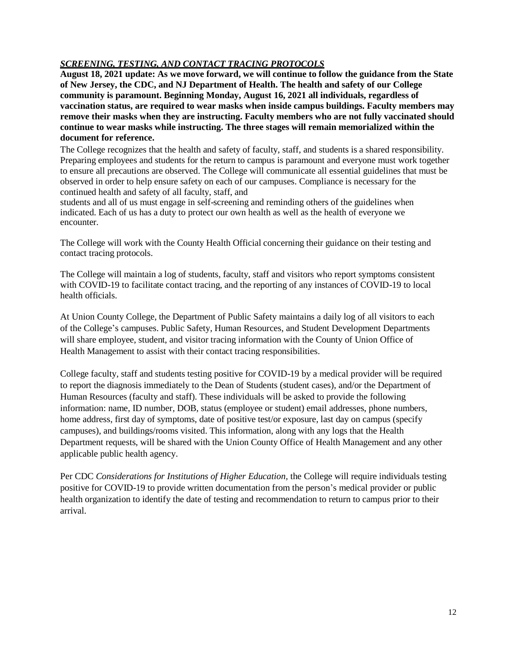#### *SCREENING, TESTING, AND CONTACT TRACING PROTOCOLS*

**August 18, 2021 update: As we move forward, we will continue to follow the guidance from the State of New Jersey, the CDC, and NJ Department of Health. The health and safety of our College community is paramount. Beginning Monday, August 16, 2021 all individuals, regardless of vaccination status, are required to wear masks when inside campus buildings. Faculty members may remove their masks when they are instructing. Faculty members who are not fully vaccinated should continue to wear masks while instructing. The three stages will remain memorialized within the document for reference.**

The College recognizes that the health and safety of faculty, staff, and students is a shared responsibility. Preparing employees and students for the return to campus is paramount and everyone must work together to ensure all precautions are observed. The College will communicate all essential guidelines that must be observed in order to help ensure safety on each of our campuses. Compliance is necessary for the continued health and safety of all faculty, staff, and

students and all of us must engage in self-screening and reminding others of the guidelines when indicated. Each of us has a duty to protect our own health as well as the health of everyone we encounter.

The College will work with the County Health Official concerning their guidance on their testing and contact tracing protocols.

The College will maintain a log of students, faculty, staff and visitors who report symptoms consistent with COVID-19 to facilitate contact tracing, and the reporting of any instances of COVID-19 to local health officials.

At Union County College, the Department of Public Safety maintains a daily log of all visitors to each of the College's campuses. Public Safety, Human Resources, and Student Development Departments will share employee, student, and visitor tracing information with the County of Union Office of Health Management to assist with their contact tracing responsibilities.

College faculty, staff and students testing positive for COVID-19 by a medical provider will be required to report the diagnosis immediately to the Dean of Students (student cases), and/or the Department of Human Resources (faculty and staff). These individuals will be asked to provide the following information: name, ID number, DOB, status (employee or student) email addresses, phone numbers, home address, first day of symptoms, date of positive test/or exposure, last day on campus (specify campuses), and buildings/rooms visited. This information, along with any logs that the Health Department requests, will be shared with the Union County Office of Health Management and any other applicable public health agency.

Per CDC *Considerations for Institutions of Higher Education,* the College will require individuals testing positive for COVID-19 to provide written documentation from the person's medical provider or public health organization to identify the date of testing and recommendation to return to campus prior to their arrival.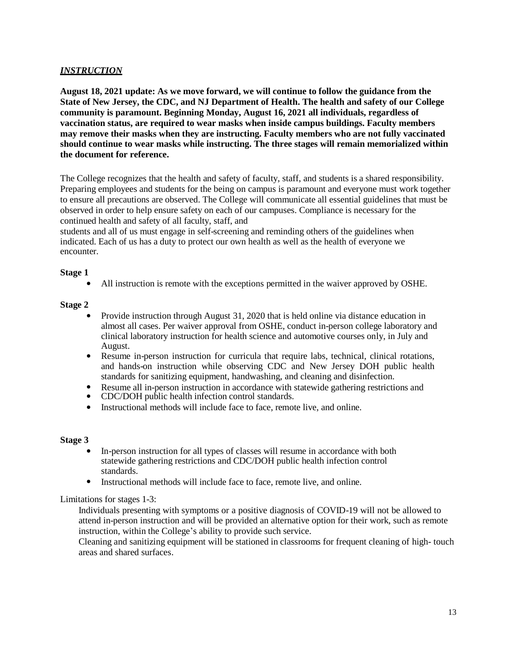#### *INSTRUCTION*

**August 18, 2021 update: As we move forward, we will continue to follow the guidance from the State of New Jersey, the CDC, and NJ Department of Health. The health and safety of our College community is paramount. Beginning Monday, August 16, 2021 all individuals, regardless of vaccination status, are required to wear masks when inside campus buildings. Faculty members may remove their masks when they are instructing. Faculty members who are not fully vaccinated should continue to wear masks while instructing. The three stages will remain memorialized within the document for reference.**

The College recognizes that the health and safety of faculty, staff, and students is a shared responsibility. Preparing employees and students for the being on campus is paramount and everyone must work together to ensure all precautions are observed. The College will communicate all essential guidelines that must be observed in order to help ensure safety on each of our campuses. Compliance is necessary for the continued health and safety of all faculty, staff, and

students and all of us must engage in self-screening and reminding others of the guidelines when indicated. Each of us has a duty to protect our own health as well as the health of everyone we encounter.

#### **Stage 1**

• All instruction is remote with the exceptions permitted in the waiver approved by OSHE.

#### **Stage 2**

- Provide instruction through August 31, 2020 that is held online via distance education in almost all cases. Per waiver approval from OSHE, conduct in-person college laboratory and clinical laboratory instruction for health science and automotive courses only, in July and August.
- Resume in-person instruction for curricula that require labs, technical, clinical rotations, and hands-on instruction while observing CDC and New Jersey DOH public health standards for sanitizing equipment, handwashing, and cleaning and disinfection.
- Resume all in-person instruction in accordance with statewide gathering restrictions and
- CDC/DOH public health infection control standards.
- Instructional methods will include face to face, remote live, and online.

#### **Stage 3**

- In-person instruction for all types of classes will resume in accordance with both statewide gathering restrictions and CDC/DOH public health infection control standards.
- Instructional methods will include face to face, remote live, and online.

#### Limitations for stages 1-3:

Individuals presenting with symptoms or a positive diagnosis of COVID-19 will not be allowed to attend in-person instruction and will be provided an alternative option for their work, such as remote instruction, within the College's ability to provide such service.

Cleaning and sanitizing equipment will be stationed in classrooms for frequent cleaning of high- touch areas and shared surfaces.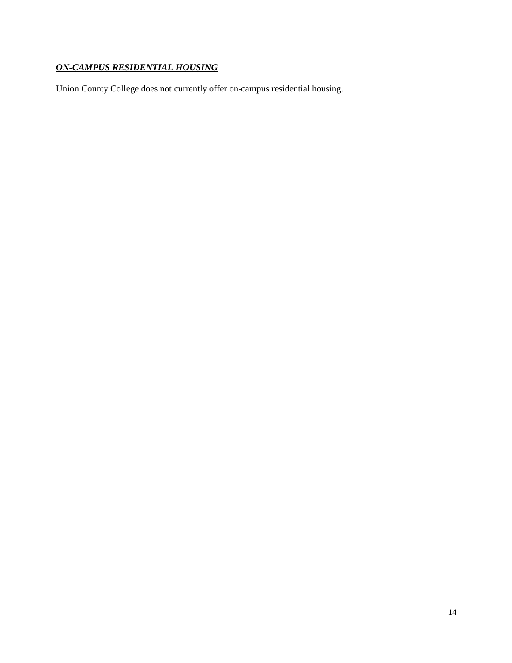## *ON-CAMPUS RESIDENTIAL HOUSING*

Union County College does not currently offer on-campus residential housing.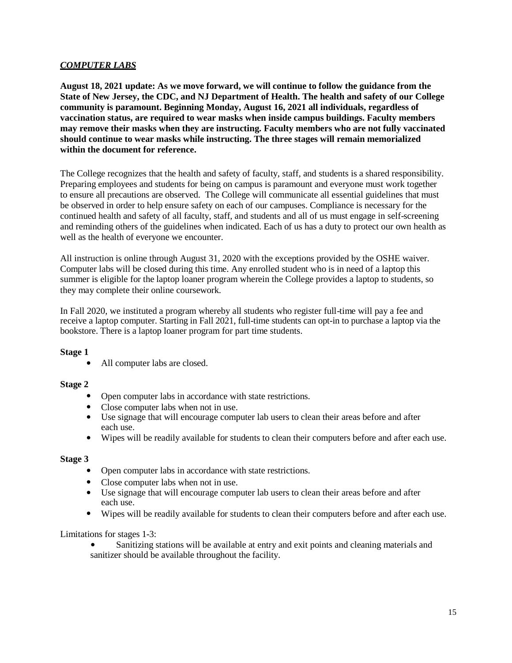#### *COMPUTER LABS*

**August 18, 2021 update: As we move forward, we will continue to follow the guidance from the State of New Jersey, the CDC, and NJ Department of Health. The health and safety of our College community is paramount. Beginning Monday, August 16, 2021 all individuals, regardless of vaccination status, are required to wear masks when inside campus buildings. Faculty members may remove their masks when they are instructing. Faculty members who are not fully vaccinated should continue to wear masks while instructing. The three stages will remain memorialized within the document for reference.**

The College recognizes that the health and safety of faculty, staff, and students is a shared responsibility. Preparing employees and students for being on campus is paramount and everyone must work together to ensure all precautions are observed. The College will communicate all essential guidelines that must be observed in order to help ensure safety on each of our campuses. Compliance is necessary for the continued health and safety of all faculty, staff, and students and all of us must engage in self-screening and reminding others of the guidelines when indicated. Each of us has a duty to protect our own health as well as the health of everyone we encounter.

All instruction is online through August 31, 2020 with the exceptions provided by the OSHE waiver. Computer labs will be closed during this time. Any enrolled student who is in need of a laptop this summer is eligible for the laptop loaner program wherein the College provides a laptop to students, so they may complete their online coursework.

In Fall 2020, we instituted a program whereby all students who register full-time will pay a fee and receive a laptop computer. Starting in Fall 2021, full-time students can opt-in to purchase a laptop via the bookstore. There is a laptop loaner program for part time students.

#### **Stage 1**

• All computer labs are closed.

#### **Stage 2**

- Open computer labs in accordance with state restrictions.
- Close computer labs when not in use.
- Use signage that will encourage computer lab users to clean their areas before and after each use.
- Wipes will be readily available for students to clean their computers before and after each use.

#### **Stage 3**

- Open computer labs in accordance with state restrictions.
- Close computer labs when not in use.
- Use signage that will encourage computer lab users to clean their areas before and after each use.
- Wipes will be readily available for students to clean their computers before and after each use.

Limitations for stages 1-3:

• Sanitizing stations will be available at entry and exit points and cleaning materials and sanitizer should be available throughout the facility.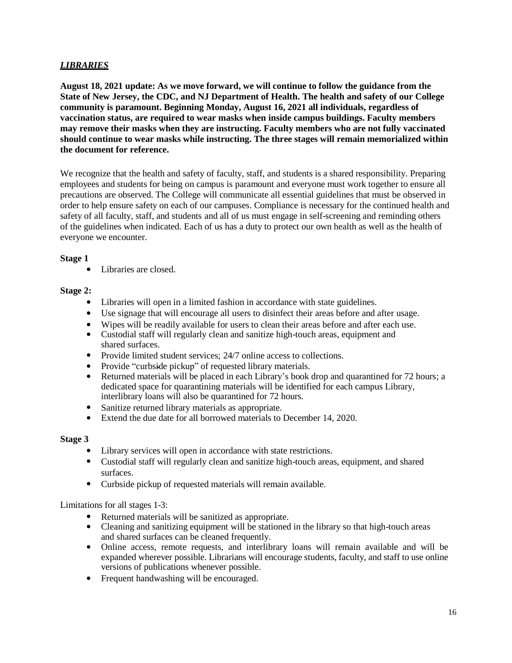#### *LIBRARIES*

**August 18, 2021 update: As we move forward, we will continue to follow the guidance from the State of New Jersey, the CDC, and NJ Department of Health. The health and safety of our College community is paramount. Beginning Monday, August 16, 2021 all individuals, regardless of vaccination status, are required to wear masks when inside campus buildings. Faculty members may remove their masks when they are instructing. Faculty members who are not fully vaccinated should continue to wear masks while instructing. The three stages will remain memorialized within the document for reference.**

We recognize that the health and safety of faculty, staff, and students is a shared responsibility. Preparing employees and students for being on campus is paramount and everyone must work together to ensure all precautions are observed. The College will communicate all essential guidelines that must be observed in order to help ensure safety on each of our campuses. Compliance is necessary for the continued health and safety of all faculty, staff, and students and all of us must engage in self-screening and reminding others of the guidelines when indicated. Each of us has a duty to protect our own health as well as the health of everyone we encounter.

#### **Stage 1**

• Libraries are closed.

#### **Stage 2:**

- Libraries will open in a limited fashion in accordance with state guidelines.
- Use signage that will encourage all users to disinfect their areas before and after usage.
- Wipes will be readily available for users to clean their areas before and after each use.
- Custodial staff will regularly clean and sanitize high-touch areas, equipment and shared surfaces.
- Provide limited student services; 24/7 online access to collections.
- Provide "curbside pickup" of requested library materials.
- Returned materials will be placed in each Library's book drop and quarantined for 72 hours; a dedicated space for quarantining materials will be identified for each campus Library, interlibrary loans will also be quarantined for 72 hours.
- Sanitize returned library materials as appropriate.
- Extend the due date for all borrowed materials to December 14, 2020.

#### **Stage 3**

- Library services will open in accordance with state restrictions.
- Custodial staff will regularly clean and sanitize high-touch areas, equipment, and shared surfaces.
- Curbside pickup of requested materials will remain available.

Limitations for all stages 1-3:

- Returned materials will be sanitized as appropriate.
- Cleaning and sanitizing equipment will be stationed in the library so that high-touch areas and shared surfaces can be cleaned frequently.
- Online access, remote requests, and interlibrary loans will remain available and will be expanded wherever possible. Librarians will encourage students, faculty, and staff to use online versions of publications whenever possible.
- Frequent handwashing will be encouraged.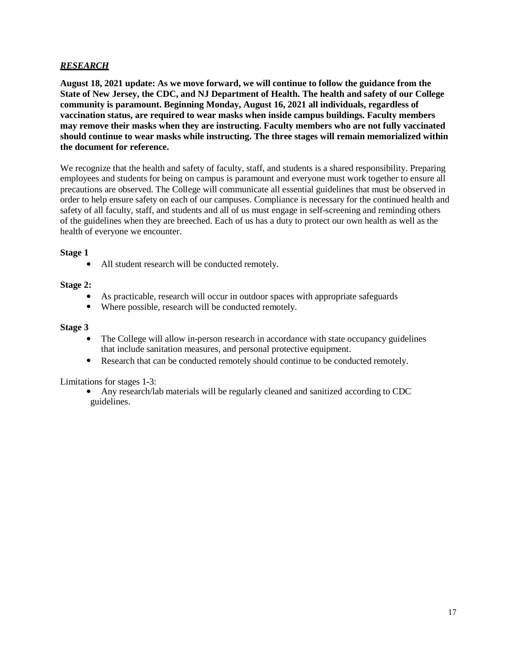#### *RESEARCH*

**August 18, 2021 update: As we move forward, we will continue to follow the guidance from the State of New Jersey, the CDC, and NJ Department of Health. The health and safety of our College community is paramount. Beginning Monday, August 16, 2021 all individuals, regardless of vaccination status, are required to wear masks when inside campus buildings. Faculty members may remove their masks when they are instructing. Faculty members who are not fully vaccinated should continue to wear masks while instructing. The three stages will remain memorialized within the document for reference.**

We recognize that the health and safety of faculty, staff, and students is a shared responsibility. Preparing employees and students for being on campus is paramount and everyone must work together to ensure all precautions are observed. The College will communicate all essential guidelines that must be observed in order to help ensure safety on each of our campuses. Compliance is necessary for the continued health and safety of all faculty, staff, and students and all of us must engage in self-screening and reminding others of the guidelines when they are breeched. Each of us has a duty to protect our own health as well as the health of everyone we encounter.

#### **Stage 1**

• All student research will be conducted remotely.

#### **Stage 2:**

- As practicable, research will occur in outdoor spaces with appropriate safeguards
- Where possible, research will be conducted remotely.

#### **Stage 3**

- The College will allow in-person research in accordance with state occupancy guidelines that include sanitation measures, and personal protective equipment.
- Research that can be conducted remotely should continue to be conducted remotely.

Limitations for stages 1-3:

• Any research/lab materials will be regularly cleaned and sanitized according to CDC guidelines.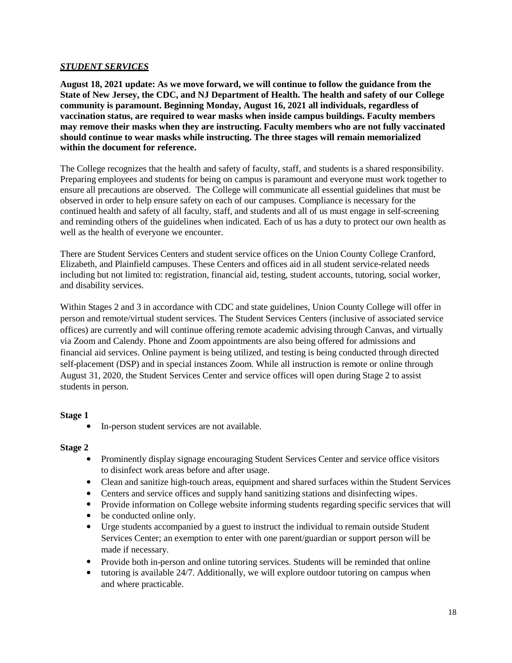#### *STUDENT SERVICES*

**August 18, 2021 update: As we move forward, we will continue to follow the guidance from the State of New Jersey, the CDC, and NJ Department of Health. The health and safety of our College community is paramount. Beginning Monday, August 16, 2021 all individuals, regardless of vaccination status, are required to wear masks when inside campus buildings. Faculty members may remove their masks when they are instructing. Faculty members who are not fully vaccinated should continue to wear masks while instructing. The three stages will remain memorialized within the document for reference.**

The College recognizes that the health and safety of faculty, staff, and students is a shared responsibility. Preparing employees and students for being on campus is paramount and everyone must work together to ensure all precautions are observed. The College will communicate all essential guidelines that must be observed in order to help ensure safety on each of our campuses. Compliance is necessary for the continued health and safety of all faculty, staff, and students and all of us must engage in self-screening and reminding others of the guidelines when indicated. Each of us has a duty to protect our own health as well as the health of everyone we encounter.

There are Student Services Centers and student service offices on the Union County College Cranford, Elizabeth, and Plainfield campuses. These Centers and offices aid in all student service-related needs including but not limited to: registration, financial aid, testing, student accounts, tutoring, social worker, and disability services.

Within Stages 2 and 3 in accordance with CDC and state guidelines, Union County College will offer in person and remote/virtual student services. The Student Services Centers (inclusive of associated service offices) are currently and will continue offering remote academic advising through Canvas, and virtually via Zoom and Calendy. Phone and Zoom appointments are also being offered for admissions and financial aid services. Online payment is being utilized, and testing is being conducted through directed self-placement (DSP) and in special instances Zoom. While all instruction is remote or online through August 31, 2020, the Student Services Center and service offices will open during Stage 2 to assist students in person.

#### **Stage 1**

• In-person student services are not available.

#### **Stage 2**

- Prominently display signage encouraging Student Services Center and service office visitors to disinfect work areas before and after usage.
- Clean and sanitize high-touch areas, equipment and shared surfaces within the Student Services
- Centers and service offices and supply hand sanitizing stations and disinfecting wipes.
- Provide information on College website informing students regarding specific services that will
- be conducted online only.
- Urge students accompanied by a guest to instruct the individual to remain outside Student Services Center; an exemption to enter with one parent/guardian or support person will be made if necessary.
- Provide both in-person and online tutoring services. Students will be reminded that online
- tutoring is available 24/7. Additionally, we will explore outdoor tutoring on campus when and where practicable.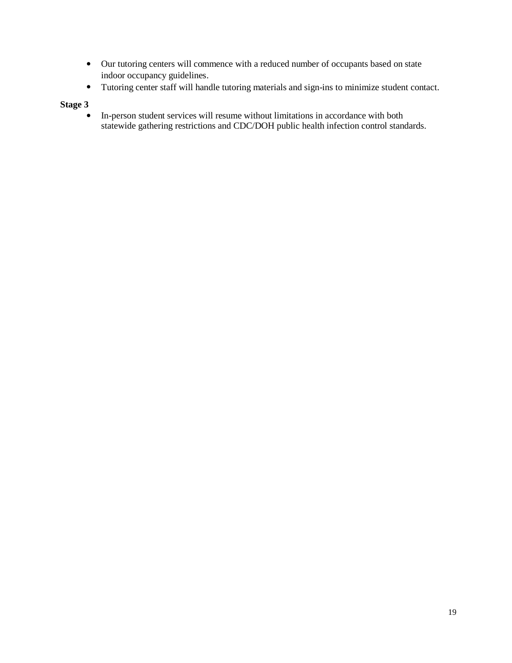- Our tutoring centers will commence with a reduced number of occupants based on state indoor occupancy guidelines.
- Tutoring center staff will handle tutoring materials and sign-ins to minimize student contact.

#### **Stage 3**

• In-person student services will resume without limitations in accordance with both statewide gathering restrictions and CDC/DOH public health infection control standards.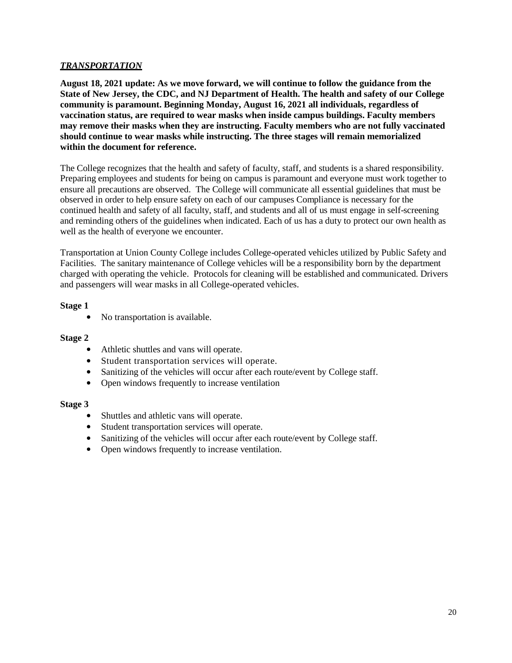#### *TRANSPORTATION*

**August 18, 2021 update: As we move forward, we will continue to follow the guidance from the State of New Jersey, the CDC, and NJ Department of Health. The health and safety of our College community is paramount. Beginning Monday, August 16, 2021 all individuals, regardless of vaccination status, are required to wear masks when inside campus buildings. Faculty members may remove their masks when they are instructing. Faculty members who are not fully vaccinated should continue to wear masks while instructing. The three stages will remain memorialized within the document for reference.**

The College recognizes that the health and safety of faculty, staff, and students is a shared responsibility. Preparing employees and students for being on campus is paramount and everyone must work together to ensure all precautions are observed. The College will communicate all essential guidelines that must be observed in order to help ensure safety on each of our campuses Compliance is necessary for the continued health and safety of all faculty, staff, and students and all of us must engage in self-screening and reminding others of the guidelines when indicated. Each of us has a duty to protect our own health as well as the health of everyone we encounter.

Transportation at Union County College includes College-operated vehicles utilized by Public Safety and Facilities. The sanitary maintenance of College vehicles will be a responsibility born by the department charged with operating the vehicle. Protocols for cleaning will be established and communicated. Drivers and passengers will wear masks in all College-operated vehicles.

#### **Stage 1**

• No transportation is available.

#### **Stage 2**

- Athletic shuttles and vans will operate.
- Student transportation services will operate.
- Sanitizing of the vehicles will occur after each route/event by College staff.
- Open windows frequently to increase ventilation

#### **Stage 3**

- Shuttles and athletic vans will operate.
- Student transportation services will operate.
- Sanitizing of the vehicles will occur after each route/event by College staff.
- Open windows frequently to increase ventilation.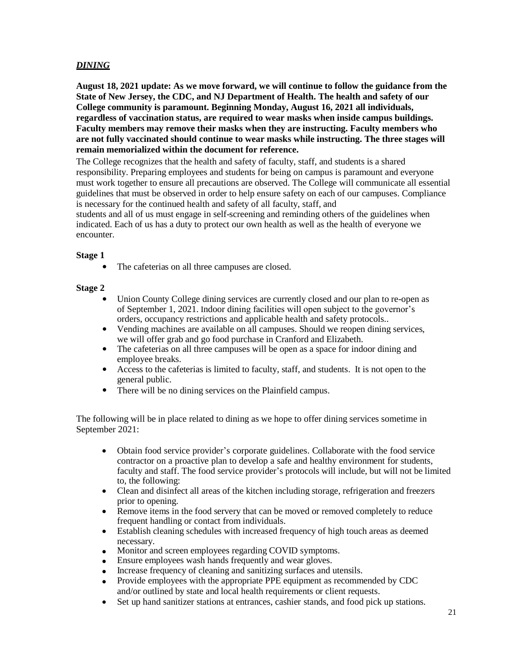#### *DINING*

**August 18, 2021 update: As we move forward, we will continue to follow the guidance from the State of New Jersey, the CDC, and NJ Department of Health. The health and safety of our College community is paramount. Beginning Monday, August 16, 2021 all individuals, regardless of vaccination status, are required to wear masks when inside campus buildings. Faculty members may remove their masks when they are instructing. Faculty members who are not fully vaccinated should continue to wear masks while instructing. The three stages will remain memorialized within the document for reference.**

The College recognizes that the health and safety of faculty, staff, and students is a shared responsibility. Preparing employees and students for being on campus is paramount and everyone must work together to ensure all precautions are observed. The College will communicate all essential guidelines that must be observed in order to help ensure safety on each of our campuses. Compliance is necessary for the continued health and safety of all faculty, staff, and

students and all of us must engage in self-screening and reminding others of the guidelines when indicated. Each of us has a duty to protect our own health as well as the health of everyone we encounter.

#### **Stage 1**

• The cafeterias on all three campuses are closed.

#### **Stage 2**

- Union County College dining services are currently closed and our plan to re-open as of September 1, 2021. Indoor dining facilities will open subject to the governor's orders, occupancy restrictions and applicable health and safety protocols..
- Vending machines are available on all campuses. Should we reopen dining services, we will offer grab and go food purchase in Cranford and Elizabeth.
- The cafeterias on all three campuses will be open as a space for indoor dining and employee breaks.
- Access to the cafeterias is limited to faculty, staff, and students. It is not open to the general public.
- There will be no dining services on the Plainfield campus.

The following will be in place related to dining as we hope to offer dining services sometime in September 2021:

- Obtain food service provider's corporate guidelines. Collaborate with the food service contractor on a proactive plan to develop a safe and healthy environment for students, faculty and staff. The food service provider's protocols will include, but will not be limited to, the following:
- Clean and disinfect all areas of the kitchen including storage, refrigeration and freezers prior to opening.
- Remove items in the food servery that can be moved or removed completely to reduce frequent handling or contact from individuals.
- Establish cleaning schedules with increased frequency of high touch areas as deemed necessary.
- Monitor and screen employees regarding COVID symptoms.
- Ensure employees wash hands frequently and wear gloves.
- Increase frequency of cleaning and sanitizing surfaces and utensils.
- Provide employees with the appropriate PPE equipment as recommended by CDC and/or outlined by state and local health requirements or client requests.
- Set up hand sanitizer stations at entrances, cashier stands, and food pick up stations.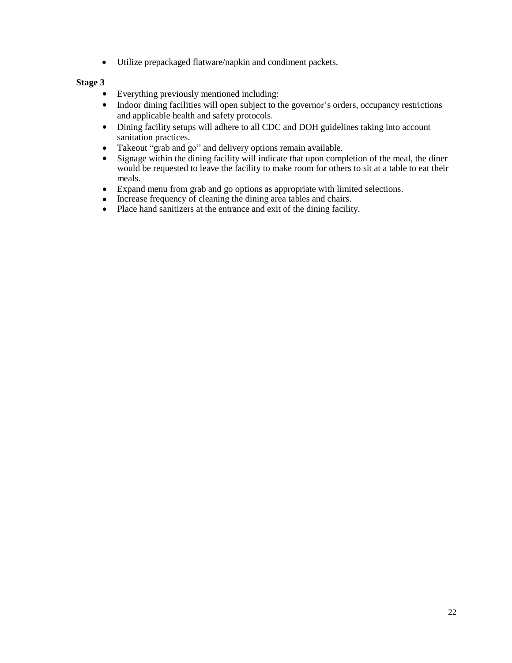• Utilize prepackaged flatware/napkin and condiment packets.

#### **Stage 3**

- Everything previously mentioned including:
- Indoor dining facilities will open subject to the governor's orders, occupancy restrictions and applicable health and safety protocols.
- Dining facility setups will adhere to all CDC and DOH guidelines taking into account sanitation practices.
- Takeout "grab and go" and delivery options remain available.
- Signage within the dining facility will indicate that upon completion of the meal, the diner would be requested to leave the facility to make room for others to sit at a table to eat their meals.
- Expand menu from grab and go options as appropriate with limited selections.
- Increase frequency of cleaning the dining area tables and chairs.
- Place hand sanitizers at the entrance and exit of the dining facility.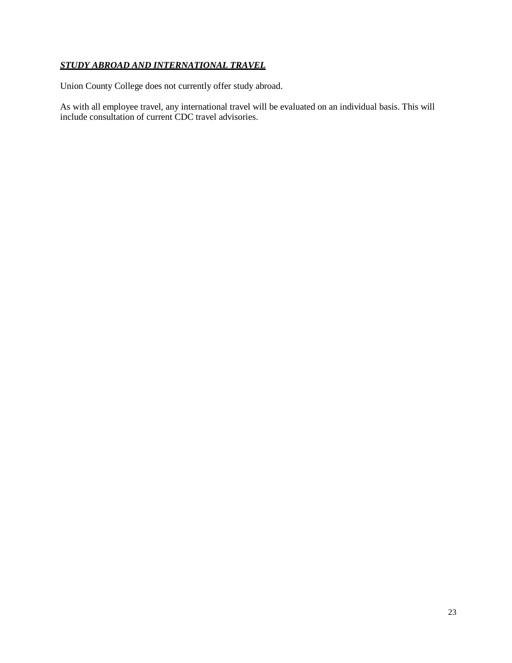#### *STUDY ABROAD AND INTERNATIONAL TRAVEL*

Union County College does not currently offer study abroad.

As with all employee travel, any international travel will be evaluated on an individual basis. This will include consultation of current CDC travel advisories.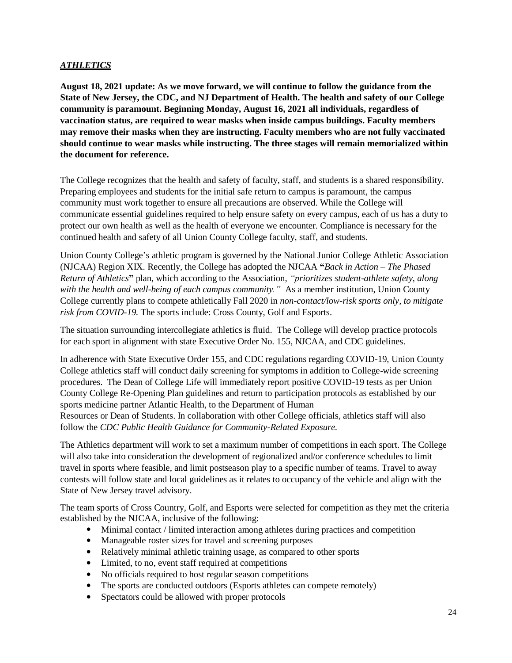#### *ATHLETICS*

**August 18, 2021 update: As we move forward, we will continue to follow the guidance from the State of New Jersey, the CDC, and NJ Department of Health. The health and safety of our College community is paramount. Beginning Monday, August 16, 2021 all individuals, regardless of vaccination status, are required to wear masks when inside campus buildings. Faculty members may remove their masks when they are instructing. Faculty members who are not fully vaccinated should continue to wear masks while instructing. The three stages will remain memorialized within the document for reference.**

The College recognizes that the health and safety of faculty, staff, and students is a shared responsibility. Preparing employees and students for the initial safe return to campus is paramount, the campus community must work together to ensure all precautions are observed. While the College will communicate essential guidelines required to help ensure safety on every campus, each of us has a duty to protect our own health as well as the health of everyone we encounter. Compliance is necessary for the continued health and safety of all Union County College faculty, staff, and students.

Union County College's athletic program is governed by the National Junior College Athletic Association (NJCAA) Region XIX. Recently, the College has adopted the NJCAA **"***Back in Action – The Phased Return of Athletics***"** plan, which according to the Association, *"prioritizes student-athlete safety, along with the health and well-being of each campus community."* As a member institution, Union County College currently plans to compete athletically Fall 2020 in *non-contact/low-risk sports only, to mitigate risk from COVID-19.* The sports include: Cross County, Golf and Esports.

The situation surrounding intercollegiate athletics is fluid. The College will develop practice protocols for each sport in alignment with state Executive Order No. 155, NJCAA, and CDC guidelines.

In adherence with State Executive Order 155, and CDC regulations regarding COVID-19, Union County College athletics staff will conduct daily screening for symptoms in addition to College-wide screening procedures. The Dean of College Life will immediately report positive COVID-19 tests as per Union County College Re-Opening Plan guidelines and return to participation protocols as established by our sports medicine partner Atlantic Health, to the Department of Human Resources or Dean of Students. In collaboration with other College officials, athletics staff will also follow the *CDC Public Health Guidance for Community-Related Exposure.*

The Athletics department will work to set a maximum number of competitions in each sport. The College will also take into consideration the development of regionalized and/or conference schedules to limit travel in sports where feasible, and limit postseason play to a specific number of teams. Travel to away contests will follow state and local guidelines as it relates to occupancy of the vehicle and align with the State of New Jersey travel advisory.

The team sports of Cross Country, Golf, and Esports were selected for competition as they met the criteria established by the NJCAA, inclusive of the following:

- Minimal contact / limited interaction among athletes during practices and competition
- Manageable roster sizes for travel and screening purposes
- Relatively minimal athletic training usage, as compared to other sports
- Limited, to no, event staff required at competitions
- No officials required to host regular season competitions
- The sports are conducted outdoors (Esports athletes can compete remotely)
- Spectators could be allowed with proper protocols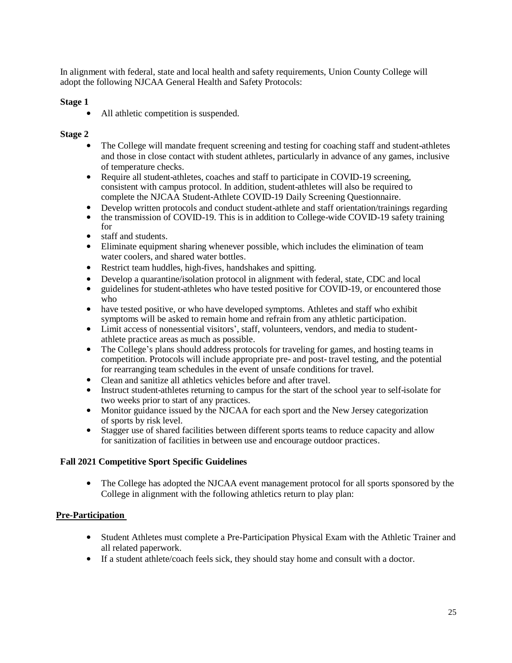In alignment with federal, state and local health and safety requirements, Union County College will adopt the following NJCAA General Health and Safety Protocols:

#### **Stage 1**

• All athletic competition is suspended.

#### **Stage 2**

- The College will mandate frequent screening and testing for coaching staff and student-athletes and those in close contact with student athletes, particularly in advance of any games, inclusive of temperature checks.
- Require all student-athletes, coaches and staff to participate in COVID-19 screening, consistent with campus protocol. In addition, student-athletes will also be required to complete the NJCAA Student-Athlete COVID-19 Daily Screening Questionnaire.
- Develop written protocols and conduct student-athlete and staff orientation/trainings regarding
- the transmission of COVID-19. This is in addition to College-wide COVID-19 safety training for
- staff and students.
- Eliminate equipment sharing whenever possible, which includes the elimination of team water coolers, and shared water bottles.
- Restrict team huddles, high-fives, handshakes and spitting.
- Develop a quarantine/isolation protocol in alignment with federal, state, CDC and local
- guidelines for student-athletes who have tested positive for COVID-19, or encountered those who
- have tested positive, or who have developed symptoms. Athletes and staff who exhibit symptoms will be asked to remain home and refrain from any athletic participation.
- Limit access of nonessential visitors', staff, volunteers, vendors, and media to studentathlete practice areas as much as possible.
- The College's plans should address protocols for traveling for games, and hosting teams in competition. Protocols will include appropriate pre- and post- travel testing, and the potential for rearranging team schedules in the event of unsafe conditions for travel.
- Clean and sanitize all athletics vehicles before and after travel.
- Instruct student-athletes returning to campus for the start of the school year to self-isolate for two weeks prior to start of any practices.
- Monitor guidance issued by the NJCAA for each sport and the New Jersey categorization of sports by risk level.
- Stagger use of shared facilities between different sports teams to reduce capacity and allow for sanitization of facilities in between use and encourage outdoor practices.

#### **Fall 2021 Competitive Sport Specific Guidelines**

• The College has adopted the NJCAA event management protocol for all sports sponsored by the College in alignment with the following athletics return to play plan:

#### **Pre-Participation**

- Student Athletes must complete a Pre-Participation Physical Exam with the Athletic Trainer and all related paperwork.
- If a student athlete/coach feels sick, they should stay home and consult with a doctor.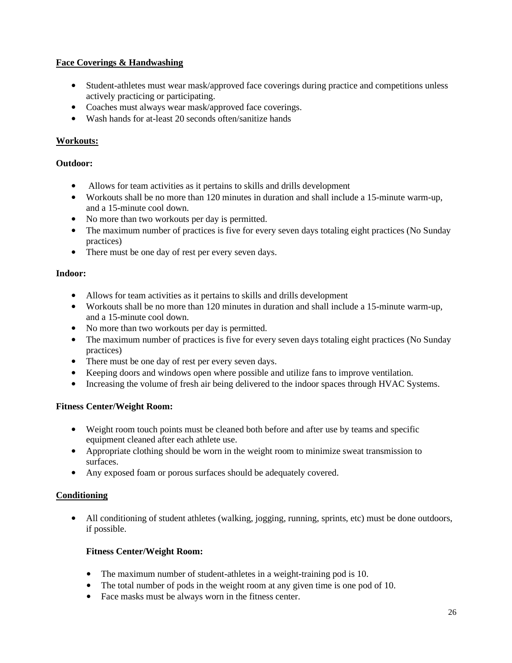#### **Face Coverings & Handwashing**

- Student-athletes must wear mask/approved face coverings during practice and competitions unless actively practicing or participating.
- Coaches must always wear mask/approved face coverings.
- Wash hands for at-least 20 seconds often/sanitize hands

#### **Workouts:**

#### **Outdoor:**

- Allows for team activities as it pertains to skills and drills development
- Workouts shall be no more than 120 minutes in duration and shall include a 15-minute warm-up, and a 15-minute cool down.
- No more than two workouts per day is permitted.
- The maximum number of practices is five for every seven days totaling eight practices (No Sunday practices)
- There must be one day of rest per every seven days.

#### **Indoor:**

- Allows for team activities as it pertains to skills and drills development
- Workouts shall be no more than 120 minutes in duration and shall include a 15-minute warm-up, and a 15-minute cool down.
- No more than two workouts per day is permitted.
- The maximum number of practices is five for every seven days totaling eight practices (No Sunday practices)
- There must be one day of rest per every seven days.
- Keeping doors and windows open where possible and utilize fans to improve ventilation.
- Increasing the volume of fresh air being delivered to the indoor spaces through HVAC Systems.

#### **Fitness Center/Weight Room:**

- Weight room touch points must be cleaned both before and after use by teams and specific equipment cleaned after each athlete use.
- Appropriate clothing should be worn in the weight room to minimize sweat transmission to surfaces.
- Any exposed foam or porous surfaces should be adequately covered.

#### **Conditioning**

• All conditioning of student athletes (walking, jogging, running, sprints, etc) must be done outdoors, if possible.

#### **Fitness Center/Weight Room:**

- The maximum number of student-athletes in a weight-training pod is 10.
- The total number of pods in the weight room at any given time is one pod of 10.
- Face masks must be always worn in the fitness center.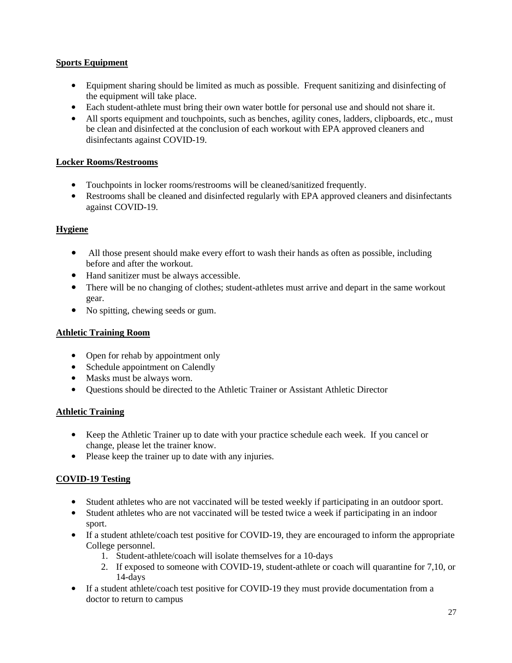#### **Sports Equipment**

- Equipment sharing should be limited as much as possible. Frequent sanitizing and disinfecting of the equipment will take place.
- Each student-athlete must bring their own water bottle for personal use and should not share it.
- All sports equipment and touchpoints, such as benches, agility cones, ladders, clipboards, etc., must be clean and disinfected at the conclusion of each workout with EPA approved cleaners and disinfectants against COVID-19.

#### **Locker Rooms/Restrooms**

- Touchpoints in locker rooms/restrooms will be cleaned/sanitized frequently.
- Restrooms shall be cleaned and disinfected regularly with EPA approved cleaners and disinfectants against COVID-19.

#### **Hygiene**

- All those present should make every effort to wash their hands as often as possible, including before and after the workout.
- Hand sanitizer must be always accessible.
- There will be no changing of clothes; student-athletes must arrive and depart in the same workout gear.
- No spitting, chewing seeds or gum.

#### **Athletic Training Room**

- Open for rehab by appointment only
- Schedule appointment on Calendly
- Masks must be always worn.
- Questions should be directed to the Athletic Trainer or Assistant Athletic Director

#### **Athletic Training**

- Keep the Athletic Trainer up to date with your practice schedule each week. If you cancel or change, please let the trainer know.
- Please keep the trainer up to date with any injuries.

#### **COVID-19 Testing**

- Student athletes who are not vaccinated will be tested weekly if participating in an outdoor sport.
- Student athletes who are not vaccinated will be tested twice a week if participating in an indoor sport.
- If a student athlete/coach test positive for COVID-19, they are encouraged to inform the appropriate College personnel.
	- 1. Student-athlete/coach will isolate themselves for a 10-days
	- 2. If exposed to someone with COVID-19, student-athlete or coach will quarantine for 7,10, or 14-days
- If a student athlete/coach test positive for COVID-19 they must provide documentation from a doctor to return to campus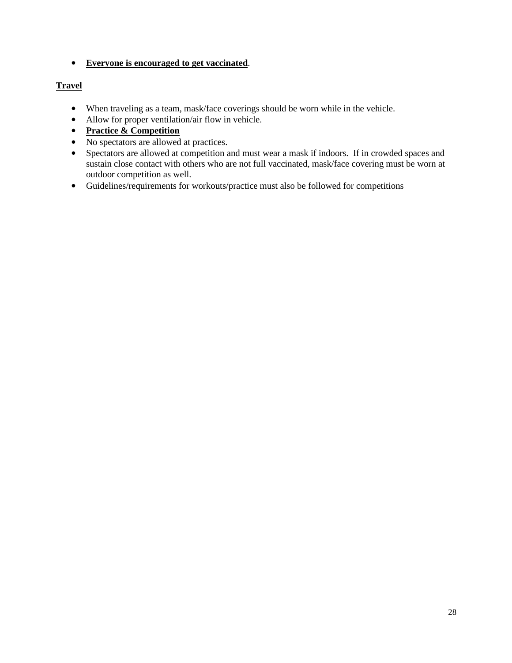• **Everyone is encouraged to get vaccinated**.

#### **Travel**

- When traveling as a team, mask/face coverings should be worn while in the vehicle.
- Allow for proper ventilation/air flow in vehicle.
- **Practice & Competition**
- No spectators are allowed at practices.
- Spectators are allowed at competition and must wear a mask if indoors. If in crowded spaces and sustain close contact with others who are not full vaccinated, mask/face covering must be worn at outdoor competition as well.
- Guidelines/requirements for workouts/practice must also be followed for competitions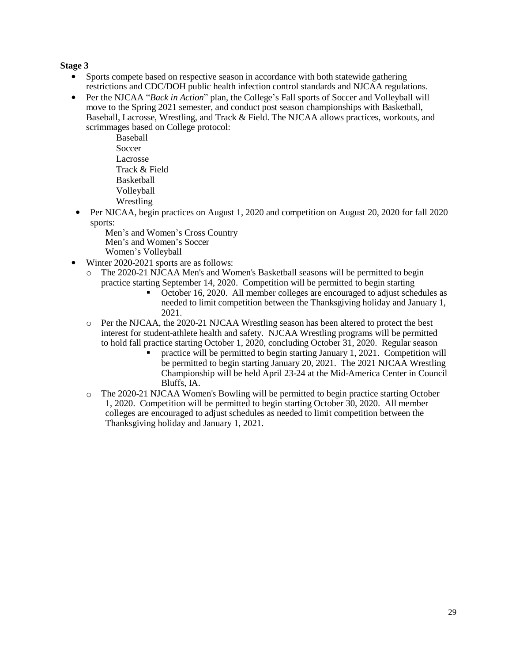#### **Stage 3**

- Sports compete based on respective season in accordance with both statewide gathering restrictions and CDC/DOH public health infection control standards and NJCAA regulations.
- Per the NJCAA "*Back in Action*" plan, the College's Fall sports of Soccer and Volleyball will move to the Spring 2021 semester, and conduct post season championships with Basketball, Baseball, Lacrosse, Wrestling, and Track & Field. The NJCAA allows practices, workouts, and scrimmages based on College protocol:

Baseball Soccer Lacrosse Track & Field Basketball Volleyball Wrestling

• Per NJCAA, begin practices on August 1, 2020 and competition on August 20, 2020 for fall 2020 sports:

Men's and Women's Cross Country Men's and Women's Soccer Women's Volleyball

- Winter 2020-2021 sports are as follows:
	- o The 2020-21 NJCAA Men's and Women's Basketball seasons will be permitted to begin practice starting September 14, 2020. Competition will be permitted to begin starting
		- October 16, 2020. All member colleges are encouraged to adjust schedules as needed to limit competition between the Thanksgiving holiday and January 1, 2021.
	- o Per the NJCAA, the 2020-21 NJCAA Wrestling season has been altered to protect the best interest for student-athlete health and safety. NJCAA Wrestling programs will be permitted to hold fall practice starting October 1, 2020, concluding October 31, 2020. Regular season
		- practice will be permitted to begin starting January 1, 2021. Competition will be permitted to begin starting January 20, 2021. The 2021 NJCAA Wrestling Championship will be held April 23-24 at the Mid-America Center in Council Bluffs, IA.
	- $\circ$  The 2020-21 NJCAA Women's Bowling will be permitted to begin practice starting October 1, 2020. Competition will be permitted to begin starting October 30, 2020. All member colleges are encouraged to adjust schedules as needed to limit competition between the Thanksgiving holiday and January 1, 2021.